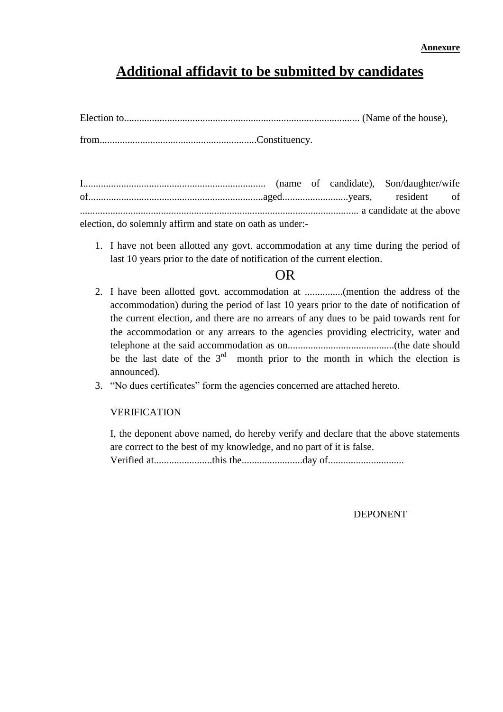## **Additional affidavit to be submitted by candidates**

I........................................................................ (name of candidate), Son/daughter/wife of.....................................................................aged..........................years, resident of .............................................................................................................. a candidate at the above

election, do solemnly affirm and state on oath as under:-

1. I have not been allotted any govt. accommodation at any time during the period of last 10 years prior to the date of notification of the current election.

### OR

- 2. I have been allotted govt. accommodation at ...............(mention the address of the accommodation) during the period of last 10 years prior to the date of notification of the current election, and there are no arrears of any dues to be paid towards rent for the accommodation or any arrears to the agencies providing electricity, water and telephone at the said accommodation as on..........................................(the date should be the last date of the  $3<sup>rd</sup>$  month prior to the month in which the election is announced).
- 3. "No dues certificates" form the agencies concerned are attached hereto.

#### VERIFICATION

I, the deponent above named, do hereby verify and declare that the above statements are correct to the best of my knowledge, and no part of it is false.

Verified at.......................this the........................day of..............................

DEPONENT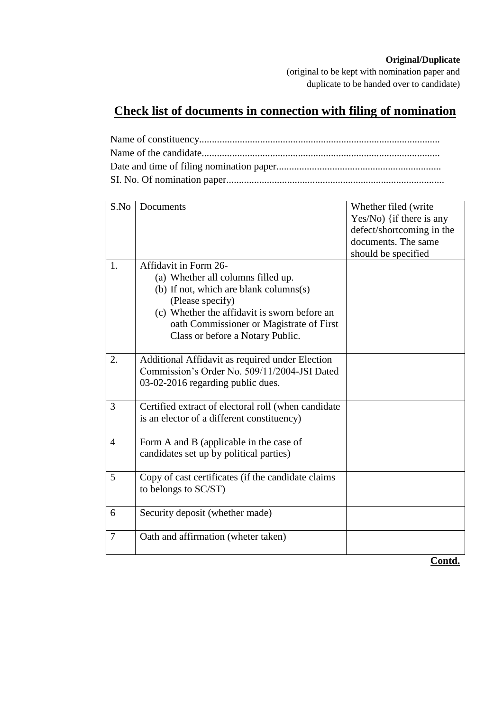#### **Original/Duplicate**

(original to be kept with nomination paper and duplicate to be handed over to candidate)

## **Check list of documents in connection with filing of nomination**

| S.No           | Documents                                                                                                                                                                                                                                                 | Whether filed (write<br>$Yes/No)$ {if there is any<br>defect/shortcoming in the<br>documents. The same<br>should be specified |
|----------------|-----------------------------------------------------------------------------------------------------------------------------------------------------------------------------------------------------------------------------------------------------------|-------------------------------------------------------------------------------------------------------------------------------|
| 1.             | Affidavit in Form 26-<br>(a) Whether all columns filled up.<br>(b) If not, which are blank columns(s)<br>(Please specify)<br>(c) Whether the affidavit is sworn before an<br>oath Commissioner or Magistrate of First<br>Class or before a Notary Public. |                                                                                                                               |
| 2.             | Additional Affidavit as required under Election<br>Commission's Order No. 509/11/2004-JSI Dated<br>03-02-2016 regarding public dues.                                                                                                                      |                                                                                                                               |
| 3              | Certified extract of electoral roll (when candidate<br>is an elector of a different constituency)                                                                                                                                                         |                                                                                                                               |
| $\overline{4}$ | Form A and B (applicable in the case of<br>candidates set up by political parties)                                                                                                                                                                        |                                                                                                                               |
| 5              | Copy of cast certificates (if the candidate claims)<br>to belongs to SC/ST)                                                                                                                                                                               |                                                                                                                               |
| 6              | Security deposit (whether made)                                                                                                                                                                                                                           |                                                                                                                               |
| $\overline{7}$ | Oath and affirmation (wheter taken)                                                                                                                                                                                                                       |                                                                                                                               |
|                |                                                                                                                                                                                                                                                           | Contd.                                                                                                                        |